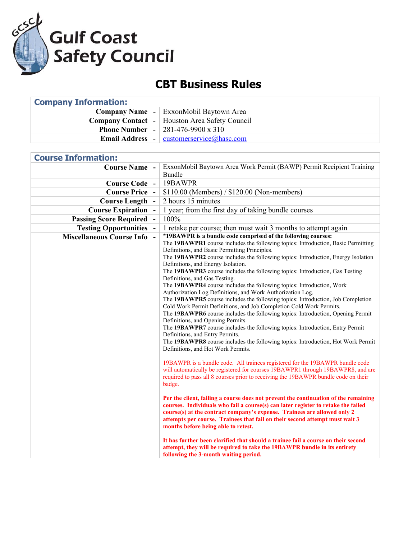

## **CBT Business Rules**

| <b>Company Information:</b> |                                                         |
|-----------------------------|---------------------------------------------------------|
|                             | <b>Company Name</b> - ExxonMobil Baytown Area           |
|                             | <b>Company Contact</b> - Houston Area Safety Council    |
|                             | <b>Phone Number</b> $-$ 281-476-9900 x 310              |
|                             | <b>Email Address</b> - $\vert$ customerservice@hasc.com |